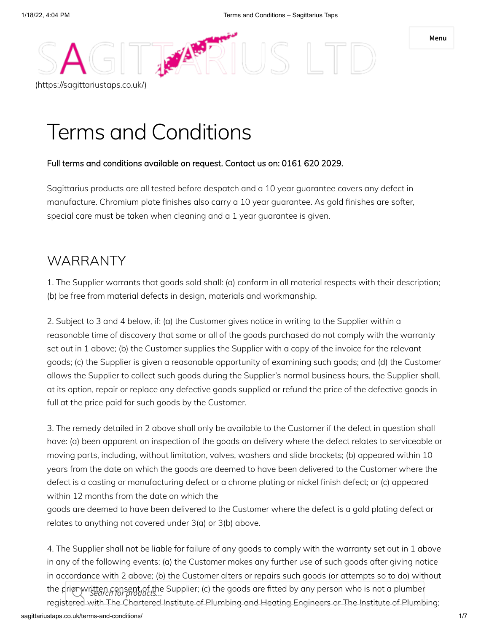**Menu**

# Terms and Conditions

#### Full terms and conditions available on request. Contact us on: 0161 620 2029.

**ANA** 

Sagittarius products are all tested before despatch and a 10 year guarantee covers any defect in manufacture. Chromium plate finishes also carry a 10 year guarantee. As gold finishes are softer, special care must be taken when cleaning and a 1 year guarantee is given.

## WARRANTY

[\(https://sagittariustaps.co.uk/\)](https://sagittariustaps.co.uk/)

1. The Supplier warrants that goods sold shall: (a) conform in all material respects with their description; (b) be free from material defects in design, materials and workmanship.

2. Subject to 3 and 4 below, if: (a) the Customer gives notice in writing to the Supplier within a reasonable time of discovery that some or all of the goods purchased do not comply with the warranty set out in 1 above; (b) the Customer supplies the Supplier with a copy of the invoice for the relevant goods; (c) the Supplier is given a reasonable opportunity of examining such goods; and (d) the Customer allows the Supplier to collect such goods during the Supplier's normal business hours, the Supplier shall, at its option, repair or replace any defective goods supplied or refund the price of the defective goods in full at the price paid for such goods by the Customer.

3. The remedy detailed in 2 above shall only be available to the Customer if the defect in question shall have: (a) been apparent on inspection of the goods on delivery where the defect relates to serviceable or moving parts, including, without limitation, valves, washers and slide brackets; (b) appeared within 10 years from the date on which the goods are deemed to have been delivered to the Customer where the defect is a casting or manufacturing defect or a chrome plating or nickel finish defect; or (c) appeared within 12 months from the date on which the

goods are deemed to have been delivered to the Customer where the defect is a gold plating defect or relates to anything not covered under 3(a) or 3(b) above.

4. The Supplier shall not be liable for failure of any goods to comply with the warranty set out in 1 above in any of the following events: (a) the Customer makes any further use of such goods after giving notice in accordance with 2 above; (b) the Customer alters or repairs such goods (or attempts so to do) without the prior written consent of the Supplier; (c) the goods are fitted by any person who is not a plumber *Search for products...*registered with The Chartered Institute of Plumbing and Heating Engineers or The Institute of Plumbing;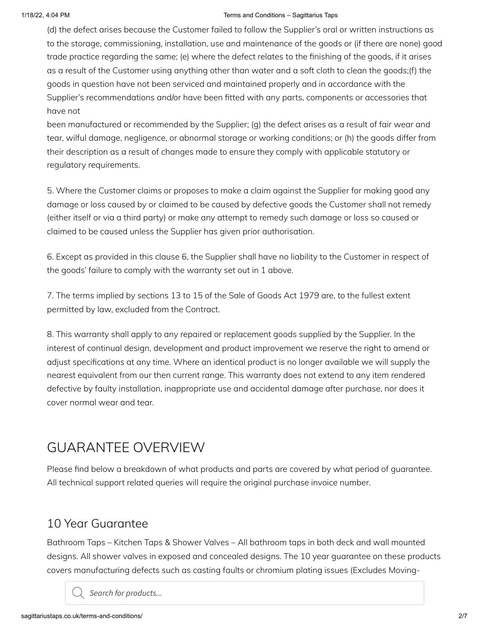#### 1/18/22, 4:04 PM Terms and Conditions – Sagittarius Taps

(d) the defect arises because the Customer failed to follow the Supplier's oral or written instructions as to the storage, commissioning, installation, use and maintenance of the goods or (if there are none) good trade practice regarding the same; (e) where the defect relates to the finishing of the goods, if it arises as a result of the Customer using anything other than water and a soft cloth to clean the goods;(f) the goods in question have not been serviced and maintained properly and in accordance with the Supplier's recommendations and/or have been fitted with any parts, components or accessories that have not

been manufactured or recommended by the Supplier; (g) the defect arises as a result of fair wear and tear, wilful damage, negligence, or abnormal storage or working conditions; or (h) the goods differ from their description as a result of changes made to ensure they comply with applicable statutory or regulatory requirements.

5. Where the Customer claims or proposes to make a claim against the Supplier for making good any damage or loss caused by or claimed to be caused by defective goods the Customer shall not remedy (either itself or via a third party) or make any attempt to remedy such damage or loss so caused or claimed to be caused unless the Supplier has given prior authorisation.

6. Except as provided in this clause 6, the Supplier shall have no liability to the Customer in respect of the goods' failure to comply with the warranty set out in 1 above.

7. The terms implied by sections 13 to 15 of the Sale of Goods Act 1979 are, to the fullest extent permitted by law, excluded from the Contract.

8. This warranty shall apply to any repaired or replacement goods supplied by the Supplier. In the interest of continual design, development and product improvement we reserve the right to amend or adjust specifications at any time. Where an identical product is no longer available we will supply the nearest equivalent from our then current range. This warranty does not extend to any item rendered defective by faulty installation, inappropriate use and accidental damage after purchase, nor does it cover normal wear and tear.

# GUARANTEE OVERVIEW

Please find below a breakdown of what products and parts are covered by what period of guarantee. All technical support related queries will require the original purchase invoice number.

## 10 Year Guarantee

Bathroom Taps – Kitchen Taps & Shower Valves – All bathroom taps in both deck and wall mounted designs. All shower valves in exposed and concealed designs. The 10 year guarantee on these products covers manufacturing defects such as casting faults or chromium plating issues (Excludes Moving-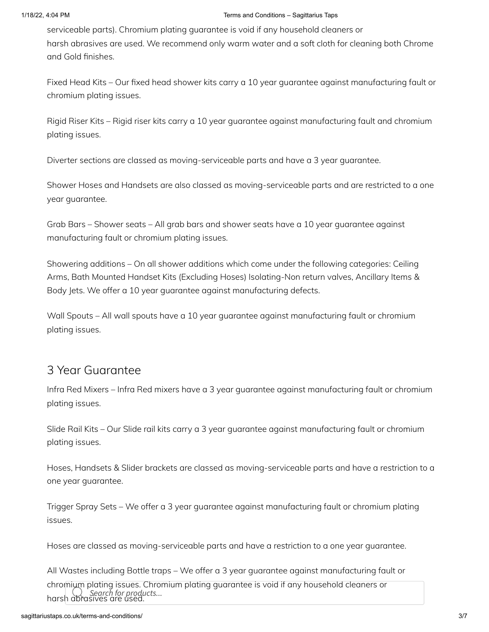serviceable parts). Chromium plating guarantee is void if any household cleaners or harsh abrasives are used. We recommend only warm water and a soft cloth for cleaning both Chrome and Gold finishes.

Fixed Head Kits – Our fixed head shower kits carry a 10 year guarantee against manufacturing fault or chromium plating issues.

Rigid Riser Kits – Rigid riser kits carry a 10 year guarantee against manufacturing fault and chromium plating issues.

Diverter sections are classed as moving-serviceable parts and have a 3 year guarantee.

Shower Hoses and Handsets are also classed as moving-serviceable parts and are restricted to a one year guarantee.

Grab Bars – Shower seats – All grab bars and shower seats have a 10 year guarantee against manufacturing fault or chromium plating issues.

Showering additions – On all shower additions which come under the following categories: Ceiling Arms, Bath Mounted Handset Kits (Excluding Hoses) Isolating-Non return valves, Ancillary Items & Body Jets. We offer a 10 year guarantee against manufacturing defects.

Wall Spouts – All wall spouts have a 10 year guarantee against manufacturing fault or chromium plating issues.

### 3 Year Guarantee

Infra Red Mixers – Infra Red mixers have a 3 year guarantee against manufacturing fault or chromium plating issues.

Slide Rail Kits – Our Slide rail kits carry a 3 year guarantee against manufacturing fault or chromium plating issues.

Hoses, Handsets & Slider brackets are classed as moving-serviceable parts and have a restriction to a one year guarantee.

Trigger Spray Sets – We offer a 3 year guarantee against manufacturing fault or chromium plating issues.

Hoses are classed as moving-serviceable parts and have a restriction to a one year guarantee.

All Wastes including Bottle traps – We offer a 3 year guarantee against manufacturing fault or

chromium plating issues. Chromium plating guarantee is void if any household cleaners or harsh abrasives are used. *Search for products...*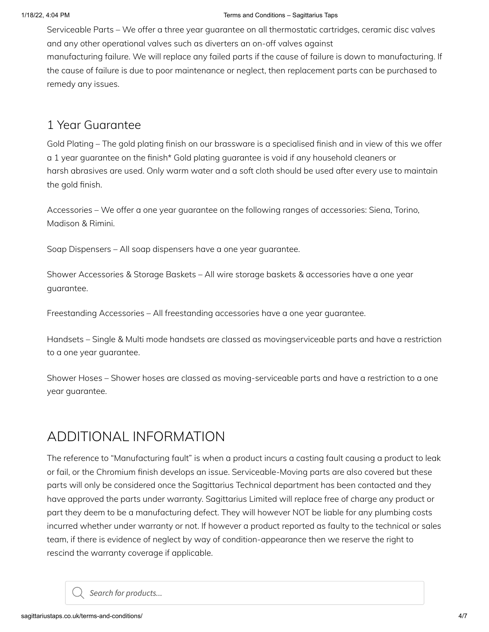Serviceable Parts – We offer a three year guarantee on all thermostatic cartridges, ceramic disc valves and any other operational valves such as diverters an on-off valves against manufacturing failure. We will replace any failed parts if the cause of failure is down to manufacturing. If the cause of failure is due to poor maintenance or neglect, then replacement parts can be purchased to remedy any issues.

#### 1 Year Guarantee

Gold Plating – The gold plating finish on our brassware is a specialised finish and in view of this we offer a 1 year guarantee on the finish\* Gold plating guarantee is void if any household cleaners or harsh abrasives are used. Only warm water and a soft cloth should be used after every use to maintain the gold finish.

Accessories – We offer a one year guarantee on the following ranges of accessories: Siena, Torino, Madison & Rimini.

Soap Dispensers – All soap dispensers have a one year guarantee.

Shower Accessories & Storage Baskets – All wire storage baskets & accessories have a one year guarantee.

Freestanding Accessories – All freestanding accessories have a one year guarantee.

Handsets – Single & Multi mode handsets are classed as movingserviceable parts and have a restriction to a one year guarantee.

Shower Hoses – Shower hoses are classed as moving-serviceable parts and have a restriction to a one year guarantee.

## ADDITIONAL INFORMATION

The reference to "Manufacturing fault" is when a product incurs a casting fault causing a product to leak or fail, or the Chromium finish develops an issue. Serviceable-Moving parts are also covered but these parts will only be considered once the Sagittarius Technical department has been contacted and they have approved the parts under warranty. Sagittarius Limited will replace free of charge any product or part they deem to be a manufacturing defect. They will however NOT be liable for any plumbing costs incurred whether under warranty or not. If however a product reported as faulty to the technical or sales team, if there is evidence of neglect by way of condition-appearance then we reserve the right to rescind the warranty coverage if applicable.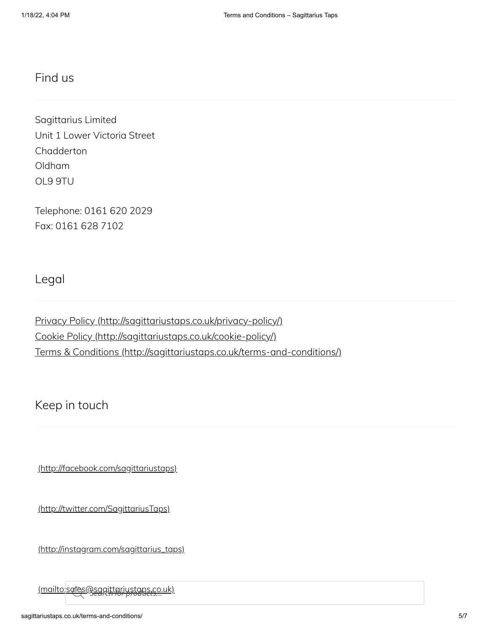### Find us

Sagittarius Limited Unit 1 Lower Victoria Street **Chadderton** Oldham OL9 9TU

Telephone: 0161 620 2029 Fax: 0161 628 7102

Legal

Privacy Policy [\(http://sagittariustaps.co.uk/privacy-policy/\)](http://sagittariustaps.co.uk/privacy-policy/) Cookie Policy [\(http://sagittariustaps.co.uk/cookie-policy/\)](http://sagittariustaps.co.uk/cookie-policy/) Terms & Conditions [\(http://sagittariustaps.co.uk/terms-and-conditions/\)](http://sagittariustaps.co.uk/terms-and-conditions/)

Keep in touch

[\(http://facebook.com/sagittariustaps\)](http://facebook.com/sagittariustaps)

[\(http://twitter.com/SagittariusTaps\)](http://twitter.com/SagittariusTaps)

[\(http://instagram.com/sagittarius\\_taps\)](http://instagram.com/sagittarius_taps)

[\(mailto:sales@sagittariustaps.co.uk\)](mailto:sales@sagittariustaps.co.uk) *Search for products...*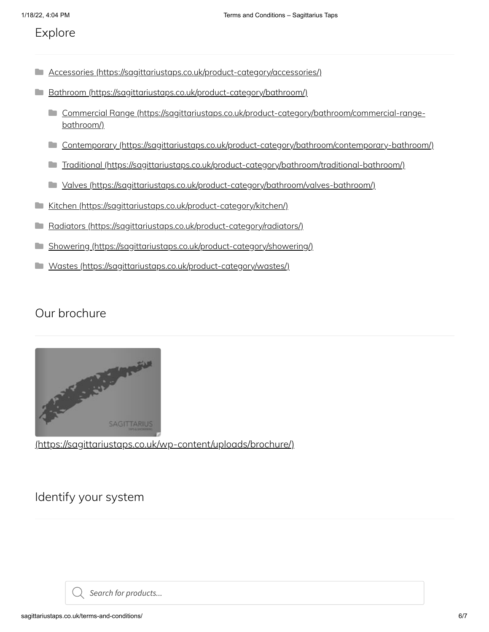#### Explore

- Accessories [\(https://sagittariustaps.co.uk/product-category/accessories/\)](https://sagittariustaps.co.uk/product-category/accessories/)  $\Box$
- **Bathroom [\(https://sagittariustaps.co.uk/product-category/bathroom/\)](https://sagittariustaps.co.uk/product-category/bathroom/)** 
	- Commercial Range [\(https://sagittariustaps.co.uk/product-category/bathroom/commercial-range](https://sagittariustaps.co.uk/product-category/bathroom/commercial-range-bathroom/) bathroom/)
	- Contemporary [\(https://sagittariustaps.co.uk/product-category/bathroom/contemporary-bathroom/\)](https://sagittariustaps.co.uk/product-category/bathroom/contemporary-bathroom/)
	- Traditional [\(https://sagittariustaps.co.uk/product-category/bathroom/traditional-bathroom/\)](https://sagittariustaps.co.uk/product-category/bathroom/traditional-bathroom/)
	- Valves [\(https://sagittariustaps.co.uk/product-category/bathroom/valves-bathroom/\)](https://sagittariustaps.co.uk/product-category/bathroom/valves-bathroom/)
- Kitchen [\(https://sagittariustaps.co.uk/product-category/kitchen/\)](https://sagittariustaps.co.uk/product-category/kitchen/) n a
- Radiators [\(https://sagittariustaps.co.uk/product-category/radiators/\)](https://sagittariustaps.co.uk/product-category/radiators/)  $\Box$
- Showering [\(https://sagittariustaps.co.uk/product-category/showering/\)](https://sagittariustaps.co.uk/product-category/showering/)
- Wastes [\(https://sagittariustaps.co.uk/product-category/wastes/\)](https://sagittariustaps.co.uk/product-category/wastes/)  $\Box$

## Our brochure



[\(https://sagittariustaps.co.uk/wp-content/uploads/brochure/\)](https://sagittariustaps.co.uk/wp-content/uploads/brochure/)

Identify your system